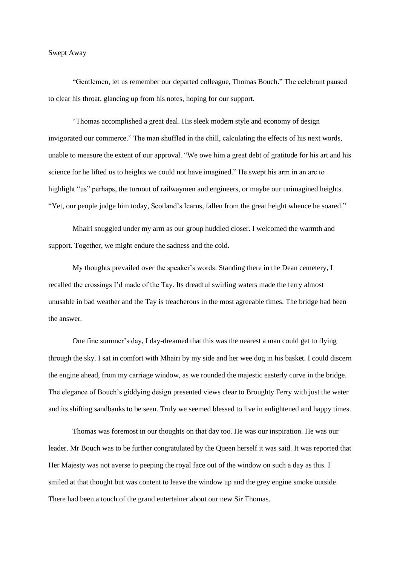## Swept Away

"Gentlemen, let us remember our departed colleague, Thomas Bouch." The celebrant paused to clear his throat, glancing up from his notes, hoping for our support.

"Thomas accomplished a great deal. His sleek modern style and economy of design invigorated our commerce." The man shuffled in the chill, calculating the effects of his next words, unable to measure the extent of our approval. "We owe him a great debt of gratitude for his art and his science for he lifted us to heights we could not have imagined." He swept his arm in an arc to highlight "us" perhaps, the turnout of railwaymen and engineers, or maybe our unimagined heights. "Yet, our people judge him today, Scotland's Icarus, fallen from the great height whence he soared."

Mhairi snuggled under my arm as our group huddled closer. I welcomed the warmth and support. Together, we might endure the sadness and the cold.

My thoughts prevailed over the speaker's words. Standing there in the Dean cemetery, I recalled the crossings I'd made of the Tay. Its dreadful swirling waters made the ferry almost unusable in bad weather and the Tay is treacherous in the most agreeable times. The bridge had been the answer.

One fine summer's day, I day-dreamed that this was the nearest a man could get to flying through the sky. I sat in comfort with Mhairi by my side and her wee dog in his basket. I could discern the engine ahead, from my carriage window, as we rounded the majestic easterly curve in the bridge. The elegance of Bouch's giddying design presented views clear to Broughty Ferry with just the water and its shifting sandbanks to be seen. Truly we seemed blessed to live in enlightened and happy times.

Thomas was foremost in our thoughts on that day too. He was our inspiration. He was our leader. Mr Bouch was to be further congratulated by the Queen herself it was said. It was reported that Her Majesty was not averse to peeping the royal face out of the window on such a day as this. I smiled at that thought but was content to leave the window up and the grey engine smoke outside. There had been a touch of the grand entertainer about our new Sir Thomas.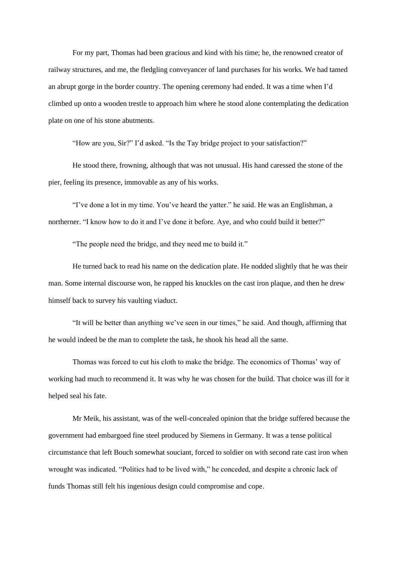For my part, Thomas had been gracious and kind with his time; he, the renowned creator of railway structures, and me, the fledgling conveyancer of land purchases for his works. We had tamed an abrupt gorge in the border country. The opening ceremony had ended. It was a time when I'd climbed up onto a wooden trestle to approach him where he stood alone contemplating the dedication plate on one of his stone abutments.

"How are you, Sir?" I'd asked. "Is the Tay bridge project to your satisfaction?"

He stood there, frowning, although that was not unusual. His hand caressed the stone of the pier, feeling its presence, immovable as any of his works.

"I've done a lot in my time. You've heard the yatter." he said. He was an Englishman, a northerner. "I know how to do it and I've done it before. Aye, and who could build it better?"

"The people need the bridge, and they need me to build it."

He turned back to read his name on the dedication plate. He nodded slightly that he was their man. Some internal discourse won, he rapped his knuckles on the cast iron plaque, and then he drew himself back to survey his vaulting viaduct.

"It will be better than anything we've seen in our times," he said. And though, affirming that he would indeed be the man to complete the task, he shook his head all the same.

Thomas was forced to cut his cloth to make the bridge. The economics of Thomas' way of working had much to recommend it. It was why he was chosen for the build. That choice was ill for it helped seal his fate.

Mr Meik, his assistant, was of the well-concealed opinion that the bridge suffered because the government had embargoed fine steel produced by Siemens in Germany. It was a tense political circumstance that left Bouch somewhat souciant, forced to soldier on with second rate cast iron when wrought was indicated. "Politics had to be lived with," he conceded, and despite a chronic lack of funds Thomas still felt his ingenious design could compromise and cope.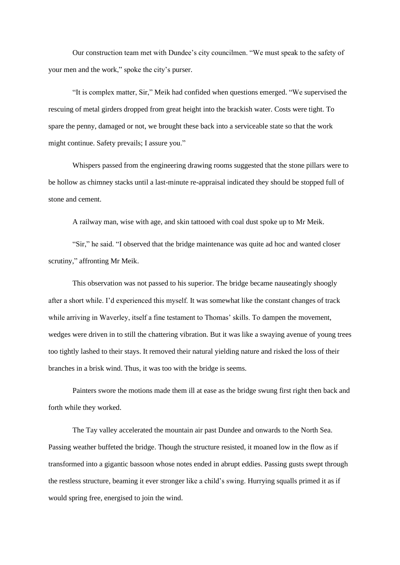Our construction team met with Dundee's city councilmen. "We must speak to the safety of your men and the work," spoke the city's purser.

"It is complex matter, Sir," Meik had confided when questions emerged. "We supervised the rescuing of metal girders dropped from great height into the brackish water. Costs were tight. To spare the penny, damaged or not, we brought these back into a serviceable state so that the work might continue. Safety prevails; I assure you."

Whispers passed from the engineering drawing rooms suggested that the stone pillars were to be hollow as chimney stacks until a last-minute re-appraisal indicated they should be stopped full of stone and cement.

A railway man, wise with age, and skin tattooed with coal dust spoke up to Mr Meik.

"Sir," he said. "I observed that the bridge maintenance was quite ad hoc and wanted closer scrutiny," affronting Mr Meik.

This observation was not passed to his superior. The bridge became nauseatingly shoogly after a short while. I'd experienced this myself. It was somewhat like the constant changes of track while arriving in Waverley, itself a fine testament to Thomas' skills. To dampen the movement, wedges were driven in to still the chattering vibration. But it was like a swaying avenue of young trees too tightly lashed to their stays. It removed their natural yielding nature and risked the loss of their branches in a brisk wind. Thus, it was too with the bridge is seems.

Painters swore the motions made them ill at ease as the bridge swung first right then back and forth while they worked.

The Tay valley accelerated the mountain air past Dundee and onwards to the North Sea. Passing weather buffeted the bridge. Though the structure resisted, it moaned low in the flow as if transformed into a gigantic bassoon whose notes ended in abrupt eddies. Passing gusts swept through the restless structure, beaming it ever stronger like a child's swing. Hurrying squalls primed it as if would spring free, energised to join the wind.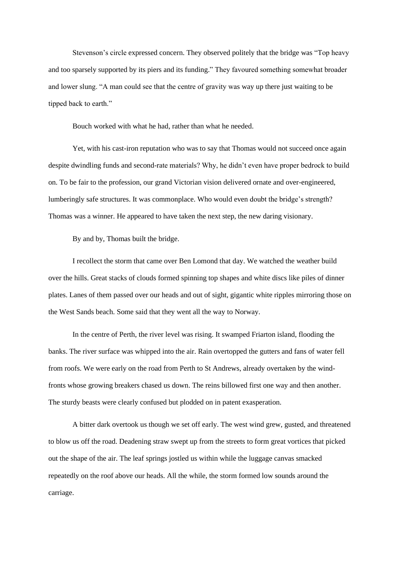Stevenson's circle expressed concern. They observed politely that the bridge was "Top heavy and too sparsely supported by its piers and its funding." They favoured something somewhat broader and lower slung. "A man could see that the centre of gravity was way up there just waiting to be tipped back to earth."

Bouch worked with what he had, rather than what he needed.

Yet, with his cast-iron reputation who was to say that Thomas would not succeed once again despite dwindling funds and second-rate materials? Why, he didn't even have proper bedrock to build on. To be fair to the profession, our grand Victorian vision delivered ornate and over-engineered, lumberingly safe structures. It was commonplace. Who would even doubt the bridge's strength? Thomas was a winner. He appeared to have taken the next step, the new daring visionary.

By and by, Thomas built the bridge.

I recollect the storm that came over Ben Lomond that day. We watched the weather build over the hills. Great stacks of clouds formed spinning top shapes and white discs like piles of dinner plates. Lanes of them passed over our heads and out of sight, gigantic white ripples mirroring those on the West Sands beach. Some said that they went all the way to Norway.

In the centre of Perth, the river level was rising. It swamped Friarton island, flooding the banks. The river surface was whipped into the air. Rain overtopped the gutters and fans of water fell from roofs. We were early on the road from Perth to St Andrews, already overtaken by the windfronts whose growing breakers chased us down. The reins billowed first one way and then another. The sturdy beasts were clearly confused but plodded on in patent exasperation.

A bitter dark overtook us though we set off early. The west wind grew, gusted, and threatened to blow us off the road. Deadening straw swept up from the streets to form great vortices that picked out the shape of the air. The leaf springs jostled us within while the luggage canvas smacked repeatedly on the roof above our heads. All the while, the storm formed low sounds around the carriage.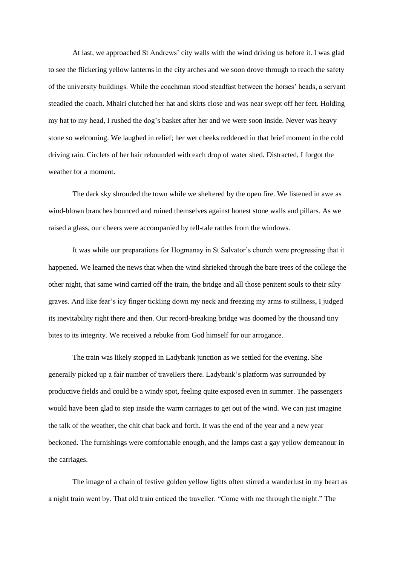At last, we approached St Andrews' city walls with the wind driving us before it. I was glad to see the flickering yellow lanterns in the city arches and we soon drove through to reach the safety of the university buildings. While the coachman stood steadfast between the horses' heads, a servant steadied the coach. Mhairi clutched her hat and skirts close and was near swept off her feet. Holding my hat to my head, I rushed the dog's basket after her and we were soon inside. Never was heavy stone so welcoming. We laughed in relief; her wet cheeks reddened in that brief moment in the cold driving rain. Circlets of her hair rebounded with each drop of water shed. Distracted, I forgot the weather for a moment.

The dark sky shrouded the town while we sheltered by the open fire. We listened in awe as wind-blown branches bounced and ruined themselves against honest stone walls and pillars. As we raised a glass, our cheers were accompanied by tell-tale rattles from the windows.

It was while our preparations for Hogmanay in St Salvator's church were progressing that it happened. We learned the news that when the wind shrieked through the bare trees of the college the other night, that same wind carried off the train, the bridge and all those penitent souls to their silty graves. And like fear's icy finger tickling down my neck and freezing my arms to stillness, I judged its inevitability right there and then. Our record-breaking bridge was doomed by the thousand tiny bites to its integrity. We received a rebuke from God himself for our arrogance.

The train was likely stopped in Ladybank junction as we settled for the evening. She generally picked up a fair number of travellers there. Ladybank's platform was surrounded by productive fields and could be a windy spot, feeling quite exposed even in summer. The passengers would have been glad to step inside the warm carriages to get out of the wind. We can just imagine the talk of the weather, the chit chat back and forth. It was the end of the year and a new year beckoned. The furnishings were comfortable enough, and the lamps cast a gay yellow demeanour in the carriages.

The image of a chain of festive golden yellow lights often stirred a wanderlust in my heart as a night train went by. That old train enticed the traveller. "Come with me through the night." The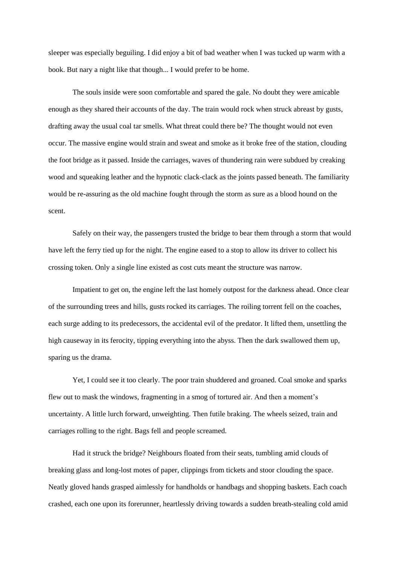sleeper was especially beguiling. I did enjoy a bit of bad weather when I was tucked up warm with a book. But nary a night like that though... I would prefer to be home.

The souls inside were soon comfortable and spared the gale. No doubt they were amicable enough as they shared their accounts of the day. The train would rock when struck abreast by gusts, drafting away the usual coal tar smells. What threat could there be? The thought would not even occur. The massive engine would strain and sweat and smoke as it broke free of the station, clouding the foot bridge as it passed. Inside the carriages, waves of thundering rain were subdued by creaking wood and squeaking leather and the hypnotic clack-clack as the joints passed beneath. The familiarity would be re-assuring as the old machine fought through the storm as sure as a blood hound on the scent.

Safely on their way, the passengers trusted the bridge to bear them through a storm that would have left the ferry tied up for the night. The engine eased to a stop to allow its driver to collect his crossing token. Only a single line existed as cost cuts meant the structure was narrow.

Impatient to get on, the engine left the last homely outpost for the darkness ahead. Once clear of the surrounding trees and hills, gusts rocked its carriages. The roiling torrent fell on the coaches, each surge adding to its predecessors, the accidental evil of the predator. It lifted them, unsettling the high causeway in its ferocity, tipping everything into the abyss. Then the dark swallowed them up, sparing us the drama.

Yet, I could see it too clearly. The poor train shuddered and groaned. Coal smoke and sparks flew out to mask the windows, fragmenting in a smog of tortured air. And then a moment's uncertainty. A little lurch forward, unweighting. Then futile braking. The wheels seized, train and carriages rolling to the right. Bags fell and people screamed.

Had it struck the bridge? Neighbours floated from their seats, tumbling amid clouds of breaking glass and long-lost motes of paper, clippings from tickets and stoor clouding the space. Neatly gloved hands grasped aimlessly for handholds or handbags and shopping baskets. Each coach crashed, each one upon its forerunner, heartlessly driving towards a sudden breath-stealing cold amid